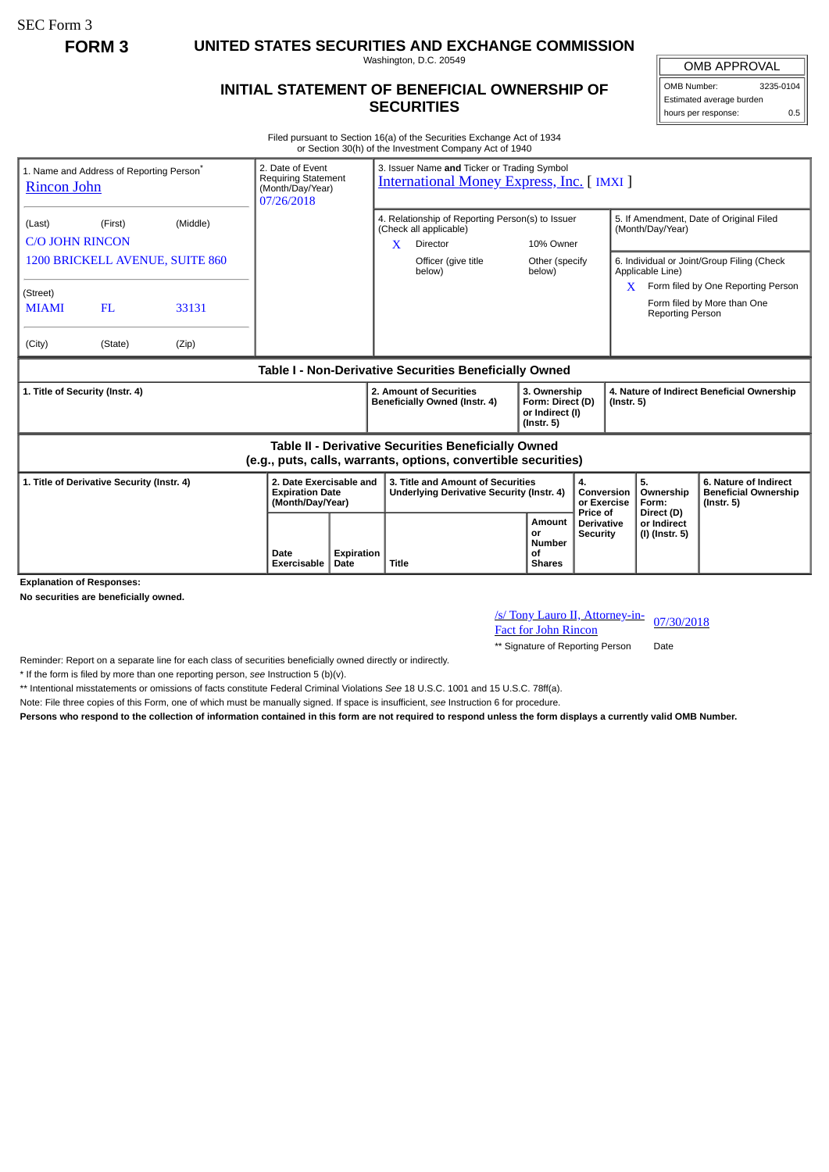SEC Form 3

**FORM 3 UNITED STATES SECURITIES AND EXCHANGE COMMISSION**

Washington, D.C. 20549

## **INITIAL STATEMENT OF BENEFICIAL OWNERSHIP OF SECURITIES**

OMB APPROVAL OMB Number: 3235-0104 Estimated average burden hours per response: 0.5

Filed pursuant to Section 16(a) of the Securities Exchange Act of 1934 or Section 30(h) of the Investment Company Act of 1940

| <b>Rincon John</b>                                                                                                    | 1. Name and Address of Reporting Person <sup>®</sup> |       | 2. Date of Event<br>3. Issuer Name and Ticker or Trading Symbol<br><b>Requiring Statement</b><br><b>International Money Express, Inc. [IMXI]</b><br>(Month/Day/Year)<br>07/26/2018 |                                                                                                        |                                                                                       |                               |                                                                         |                                                             |                                                                |                                                                          |
|-----------------------------------------------------------------------------------------------------------------------|------------------------------------------------------|-------|------------------------------------------------------------------------------------------------------------------------------------------------------------------------------------|--------------------------------------------------------------------------------------------------------|---------------------------------------------------------------------------------------|-------------------------------|-------------------------------------------------------------------------|-------------------------------------------------------------|----------------------------------------------------------------|--------------------------------------------------------------------------|
| (First)<br>(Middle)<br>(Last)<br><b>C/O JOHN RINCON</b>                                                               |                                                      |       |                                                                                                                                                                                    | 4. Relationship of Reporting Person(s) to Issuer<br>(Check all applicable)<br>$\mathbf{x}$<br>Director |                                                                                       | 10% Owner                     |                                                                         | 5. If Amendment, Date of Original Filed<br>(Month/Day/Year) |                                                                |                                                                          |
| 1200 BRICKELL AVENUE, SUITE 860                                                                                       |                                                      |       |                                                                                                                                                                                    |                                                                                                        |                                                                                       | Officer (give title<br>below) | Other (specify<br>below)                                                |                                                             | 6. Individual or Joint/Group Filing (Check<br>Applicable Line) |                                                                          |
| (Street)<br><b>MIAMI</b>                                                                                              | FL                                                   | 33131 |                                                                                                                                                                                    |                                                                                                        |                                                                                       |                               |                                                                         |                                                             | X.<br><b>Reporting Person</b>                                  | Form filed by One Reporting Person<br>Form filed by More than One        |
| (City)                                                                                                                | (State)                                              | (Zip) |                                                                                                                                                                                    |                                                                                                        |                                                                                       |                               |                                                                         |                                                             |                                                                |                                                                          |
| Table I - Non-Derivative Securities Beneficially Owned                                                                |                                                      |       |                                                                                                                                                                                    |                                                                                                        |                                                                                       |                               |                                                                         |                                                             |                                                                |                                                                          |
| 1. Title of Security (Instr. 4)                                                                                       |                                                      |       |                                                                                                                                                                                    |                                                                                                        | 2. Amount of Securities<br>Beneficially Owned (Instr. 4)                              |                               | 3. Ownership<br>Form: Direct (D)<br>or Indirect (I)<br>$($ lnstr. 5 $)$ |                                                             | 4. Nature of Indirect Beneficial Ownership<br>$($ Instr. 5 $)$ |                                                                          |
| Table II - Derivative Securities Beneficially Owned<br>(e.g., puts, calls, warrants, options, convertible securities) |                                                      |       |                                                                                                                                                                                    |                                                                                                        |                                                                                       |                               |                                                                         |                                                             |                                                                |                                                                          |
| 1. Title of Derivative Security (Instr. 4)                                                                            |                                                      |       | 2. Date Exercisable and<br><b>Expiration Date</b><br>(Month/Day/Year)                                                                                                              |                                                                                                        | 3. Title and Amount of Securities<br><b>Underlying Derivative Security (Instr. 4)</b> |                               |                                                                         | $\mathbf{4}$<br>Conversion<br>or Exercise                   | 5.<br>Ownership<br>Form:                                       | 6. Nature of Indirect<br><b>Beneficial Ownership</b><br>$($ lnstr. 5 $)$ |
| <b>Explanation of Responses:</b>                                                                                      |                                                      |       | Date<br><b>Exercisable</b>                                                                                                                                                         | Expiration<br>Date                                                                                     | <b>Title</b>                                                                          |                               | Amount<br>or<br>Number<br>οf<br><b>Shares</b>                           | Price of<br><b>Derivative</b><br>Security                   | Direct (D)<br>or Indirect<br>(I) (Instr. 5)                    |                                                                          |

**No securities are beneficially owned.**

/s/ Tony Lauro II, Attorney-in-<u>/s/ Tony Lauro II, Attorney-in-</u> 07/30/2018<br>Fact for John Rincon

\*\* Signature of Reporting Person Date

Reminder: Report on a separate line for each class of securities beneficially owned directly or indirectly.

\* If the form is filed by more than one reporting person, *see* Instruction 5 (b)(v).

\*\* Intentional misstatements or omissions of facts constitute Federal Criminal Violations *See* 18 U.S.C. 1001 and 15 U.S.C. 78ff(a).

Note: File three copies of this Form, one of which must be manually signed. If space is insufficient, *see* Instruction 6 for procedure.

**Persons who respond to the collection of information contained in this form are not required to respond unless the form displays a currently valid OMB Number.**